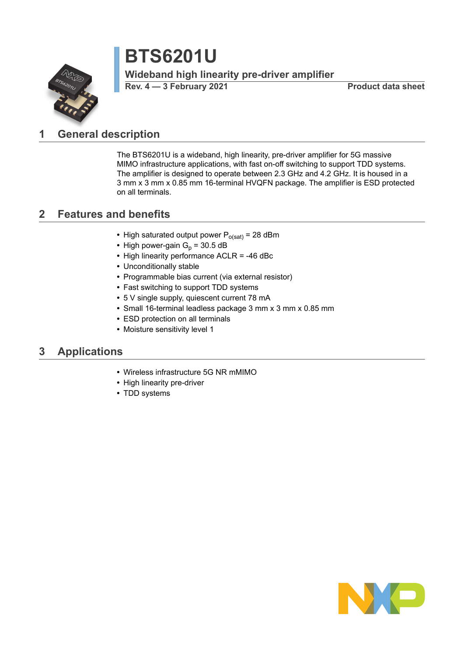# **BTS6201U**

**Wideband high linearity pre-driver amplifier**

**Rev. 4 — 3 February 2021 Product data sheet**



# <span id="page-0-0"></span>**1 General description**

The BTS6201U is a wideband, high linearity, pre-driver amplifier for 5G massive MIMO infrastructure applications, with fast on-off switching to support TDD systems. The amplifier is designed to operate between 2.3 GHz and 4.2 GHz. It is housed in a 3 mm x 3 mm x 0.85 mm 16-terminal HVQFN package. The amplifier is ESD protected on all terminals.

# <span id="page-0-1"></span>**2 Features and benefits**

- High saturated output power P<sub>o(sat)</sub> = 28 dBm
- High power-gain  $G_p$  = 30.5 dB
- **•** High linearity performance ACLR = -46 dBc
- **•** Unconditionally stable
- **•** Programmable bias current (via external resistor)
- **•** Fast switching to support TDD systems
- **•** 5 V single supply, quiescent current 78 mA
- **•** Small 16-terminal leadless package 3 mm x 3 mm x 0.85 mm
- **•** ESD protection on all terminals
- **•** Moisture sensitivity level 1

### <span id="page-0-2"></span>**3 Applications**

- **•** Wireless infrastructure 5G NR mMIMO
- **•** High linearity pre-driver
- **•** TDD systems

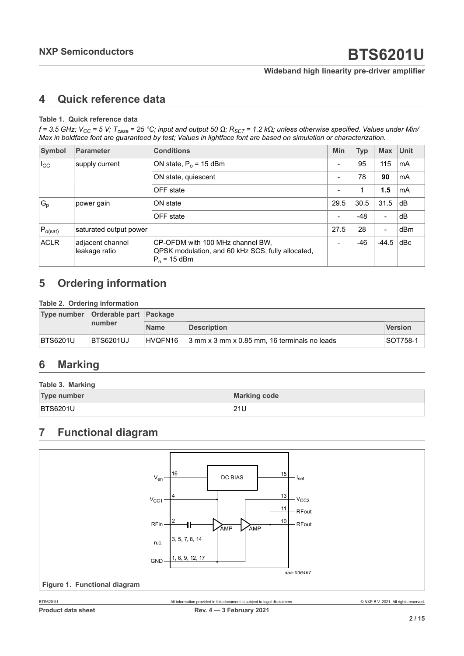#### **Wideband high linearity pre-driver amplifier**

## <span id="page-1-0"></span>**4 Quick reference data**

#### **Table 1. Quick reference data**

f = 3.5 GHz;  $V_{CC}$  = 5 V;  $T_{case}$  = 25 °C; input and output 50  $\Omega$ ;  $R_{SET}$  = 1.2 k $\Omega$ ; unless otherwise specified. Values under Min/ Max in boldface font are guaranteed by test; Values in lightface font are based on simulation or characterization.

| Symbol       | <b>Parameter</b>                  | <b>Conditions</b>                                                                                       | <b>Min</b>               | <b>Typ</b> | <b>Max</b> | <b>Unit</b> |
|--------------|-----------------------------------|---------------------------------------------------------------------------------------------------------|--------------------------|------------|------------|-------------|
| $I_{\rm CC}$ | supply current                    | ON state, $P_0$ = 15 dBm                                                                                | $\overline{\phantom{0}}$ | 95         | 115        | mA          |
|              |                                   | ON state, quiescent                                                                                     | $\overline{\phantom{a}}$ | 78         | 90         | mA          |
|              |                                   | OFF state                                                                                               | $\overline{\phantom{a}}$ |            | 1.5        | mA          |
| $G_{p}$      | power gain                        | ON state                                                                                                | 29.5                     | 30.5       | 31.5       | dB          |
|              |                                   | OFF state                                                                                               | $\overline{\phantom{a}}$ | -48        | -          | dB          |
| $P_{o(sat)}$ | saturated output power            |                                                                                                         | 27.5                     | 28         | -          | dBm         |
| <b>ACLR</b>  | adjacent channel<br>leakage ratio | CP-OFDM with 100 MHz channel BW.<br>QPSK modulation, and 60 kHz SCS, fully allocated,<br>$P_0$ = 15 dBm | $\overline{\phantom{a}}$ | -46        | $-44.5$    | dBc         |

# <span id="page-1-1"></span>**5 Ordering information**

#### **Table 2. Ordering information**

|                 | Type number Orderable part Package |             |                                              |                |  |  |
|-----------------|------------------------------------|-------------|----------------------------------------------|----------------|--|--|
|                 | number                             | <b>Name</b> | Description                                  | <b>Version</b> |  |  |
| <b>BTS6201U</b> | BTS6201UJ                          | HVQFN16     | 3 mm x 3 mm x 0.85 mm, 16 terminals no leads | SOT758-1       |  |  |

# <span id="page-1-2"></span>**6 Marking**

| Table 3. Marking   |                     |  |  |
|--------------------|---------------------|--|--|
| <b>Type number</b> | <b>Marking code</b> |  |  |
| <b>BTS6201U</b>    | 21U                 |  |  |

# <span id="page-1-3"></span>**7 Functional diagram**

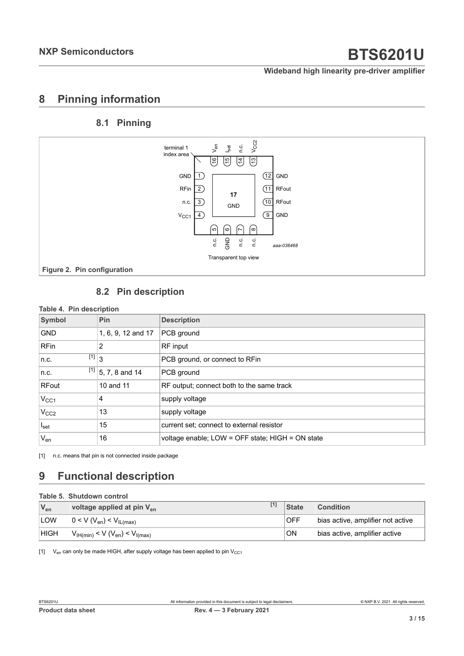#### **Wideband high linearity pre-driver amplifier**

### <span id="page-2-1"></span>**8 Pinning information**

### <span id="page-2-2"></span><span id="page-2-0"></span>**8.1 Pinning**



### <span id="page-2-3"></span>**8.2 Pin description**

#### **Table 4. Pin description**

| Symbol                                                             | Pin                  | <b>Description</b>                               |
|--------------------------------------------------------------------|----------------------|--------------------------------------------------|
| <b>GND</b>                                                         | 1, 6, 9, 12 and 17   | PCB ground                                       |
| <b>RFin</b>                                                        | 2                    | RF input                                         |
| $\left[ \begin{smallmatrix} 1 \end{smallmatrix} \right]$ 3<br>n.c. |                      | PCB ground, or connect to RFin                   |
| n.c.                                                               | $[1]$ 5, 7, 8 and 14 | PCB ground                                       |
| <b>RFout</b>                                                       | 10 and 11            | RF output; connect both to the same track        |
| $V_{CC1}$                                                          | 4                    | supply voltage                                   |
| V <sub>CC2</sub>                                                   | 13                   | supply voltage                                   |
| $I_{\text{set}}$                                                   | 15                   | current set; connect to external resistor        |
| $\mathsf{V}_{\mathsf{en}}$                                         | 16                   | voltage enable; LOW = OFF state; HIGH = ON state |

[1] n.c. means that pin is not connected inside package

# <span id="page-2-4"></span>**9 Functional description**

#### **Table 5. Shutdown control**

| $V_{en}$    | voltage applied at pin V <sub>en</sub> | <b>State</b> | <b>Condition</b>                  |
|-------------|----------------------------------------|--------------|-----------------------------------|
| <b>LOW</b>  | $0 < V (V_{en}) < V_{IL(max)}$         | <b>OFF</b>   | bias active, amplifier not active |
| <b>HIGH</b> | $V_{H(min)} < V (V_{en}) < V_{H(max)}$ | <b>ON</b>    | bias active, amplifier active     |

[1]  $V_{en}$  can only be made HIGH, after supply voltage has been applied to pin  $V_{CG1}$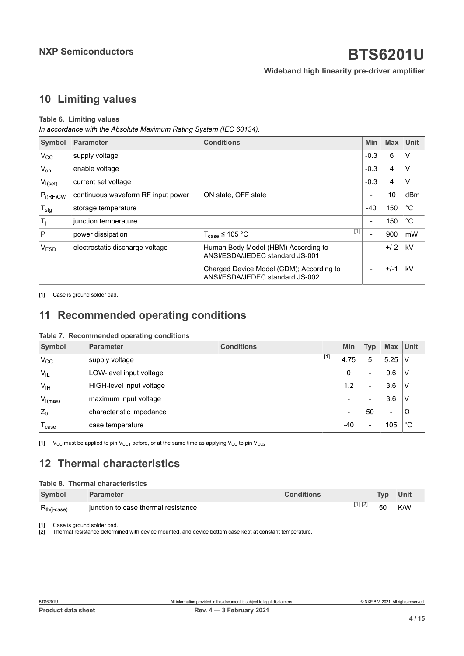**Wideband high linearity pre-driver amplifier**

# <span id="page-3-2"></span><span id="page-3-1"></span><span id="page-3-0"></span>**10 Limiting values**

#### **Table 6. Limiting values**

*In accordance with the Absolute Maximum Rating System (IEC 60134).*

| Symbol                      | <b>Parameter</b>                   | <b>Conditions</b>                                                           | Min                      | <b>Max</b> | <b>Unit</b>  |
|-----------------------------|------------------------------------|-----------------------------------------------------------------------------|--------------------------|------------|--------------|
| $V_{CC}$                    | supply voltage                     |                                                                             | $-0.3$                   | 6          | V            |
| $V_{en}$                    | enable voltage                     |                                                                             | $-0.3$                   | 4          | V            |
| $V_{I(self)}$               | current set voltage                |                                                                             | $-0.3$                   | 4          | V            |
| $P_{i(RF)CW}$               | continuous waveform RF input power | ON state, OFF state                                                         | $\overline{\phantom{a}}$ | 10         | dBm          |
| $T_{\text{stg}}$            | storage temperature                |                                                                             | $-40$                    | 150        | $^{\circ}$ C |
| $\mathsf{T}_j$              | junction temperature               |                                                                             | $\blacksquare$           | 150        | $^{\circ}$ C |
| P                           | power dissipation                  | $[1]$<br>$T_{\text{case}} \leq 105 \text{ °C}$                              | $\overline{\phantom{0}}$ | 900        | mW           |
| $\mathsf{V}_{\mathsf{ESD}}$ | electrostatic discharge voltage    | Human Body Model (HBM) According to<br>ANSI/ESDA/JEDEC standard JS-001      | $\overline{\phantom{a}}$ | $+/-2$     | kV           |
|                             |                                    | Charged Device Model (CDM); According to<br>ANSI/ESDA/JEDEC standard JS-002 | $\blacksquare$           | $+/-1$     | kV           |

[1] Case is ground solder pad.

# <span id="page-3-3"></span>**11 Recommended operating conditions**

#### **Table 7. Recommended operating conditions**

| Symbol            | <b>Parameter</b>         | <b>Conditions</b> | Min   | <b>Typ</b>               | <b>Max</b> | Unit        |
|-------------------|--------------------------|-------------------|-------|--------------------------|------------|-------------|
| $V_{\rm CC}$      | supply voltage           | $[1]$             | 4.75  | 5                        | 5.25       | V           |
| V <sub>IL</sub>   | LOW-level input voltage  |                   | 0     | -                        | 0.6        | v           |
| V <sub>IH</sub>   | HIGH-level input voltage |                   | 1.2   | $\overline{\phantom{0}}$ | 3.6        | ν           |
| $V_{I(max)}$      | maximum input voltage    |                   |       | $\overline{\phantom{0}}$ | 3.6        |             |
| $Z_0$             | characteristic impedance |                   | -     | 50                       | $\,$       | Ω           |
| l <sub>case</sub> | case temperature         |                   | $-40$ | $\overline{\phantom{0}}$ | 105        | $^{\circ}C$ |

[1]  $V_{CC}$  must be applied to pin  $V_{CC1}$  before, or at the same time as applying  $V_{CC}$  to pin  $V_{CC2}$ 

# <span id="page-3-4"></span>**12 Thermal characteristics**

#### **Table 8. Thermal characteristics**

| <b>Symbol</b>           | <b>Parameter</b>                     | <b>Conditions</b> | <b>Tyn</b> | Unit |
|-------------------------|--------------------------------------|-------------------|------------|------|
| $R_{th(j\text{-case})}$ | liunction to case thermal resistance | [1] [2]           | 50         | K/W  |

[1] Case is ground solder pad.<br>[2] Thermal resistance determ

Thermal resistance determined with device mounted, and device bottom case kept at constant temperature.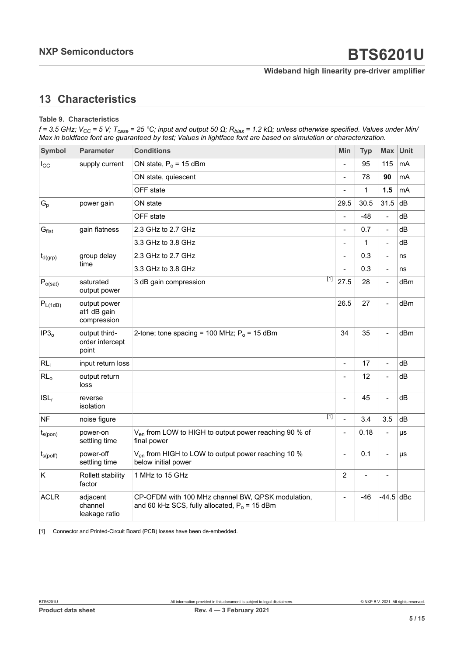### **Wideband high linearity pre-driver amplifier**

# <span id="page-4-1"></span><span id="page-4-0"></span>**13 Characteristics**

#### **Table 9. Characteristics**

f = 3.5 GHz; V<sub>CC</sub> = 5 V; T<sub>case</sub> = 25 °C; input and output 50 Ω; R<sub>bias</sub> = 1.2 kΩ; unless otherwise specified. Values under Min/ Max in boldface font are guaranteed by test; Values in lightface font are based on simulation or characterization.

| <b>Symbol</b>     | <b>Parameter</b>                           | <b>Conditions</b>                                                                                    | <b>Min</b>     | <b>Typ</b>        | <b>Max</b>               | <b>Unit</b> |
|-------------------|--------------------------------------------|------------------------------------------------------------------------------------------------------|----------------|-------------------|--------------------------|-------------|
| $I_{\rm CC}$      | supply current                             | ON state, $P_0$ = 15 dBm                                                                             | $\overline{a}$ | 95                | 115                      | $mA$        |
|                   |                                            | ON state, quiescent                                                                                  | $\blacksquare$ | 78                | 90                       | mA          |
|                   |                                            | OFF state                                                                                            |                | $\mathbf{1}$      | 1.5                      | mA          |
| $G_p$             | power gain                                 | ON state                                                                                             | 29.5           | 30.5              | 31.5                     | dB          |
|                   |                                            | OFF state                                                                                            |                | $-48$             | $\frac{1}{2}$            | dВ          |
| G <sub>flat</sub> | gain flatness                              | 2.3 GHz to 2.7 GHz                                                                                   | $\overline{a}$ | 0.7               | $\overline{\phantom{a}}$ | dB          |
|                   |                                            | 3.3 GHz to 3.8 GHz                                                                                   | $\blacksquare$ | $\mathbf{1}$      | $\blacksquare$           | dВ          |
| $t_{d(grp)}$      | group delay                                | 2.3 GHz to 2.7 GHz                                                                                   | $\overline{a}$ | 0.3               | $\overline{a}$           | ns          |
|                   | time                                       | 3.3 GHz to 3.8 GHz                                                                                   |                | 0.3               | $\overline{\phantom{0}}$ | ns          |
| $P_{o(sat)}$      | saturated<br>output power                  | $\overline{[1]}$<br>3 dB gain compression                                                            | 27.5           | 28                |                          | dBm         |
| $P_{L(1dB)}$      | output power<br>at1 dB gain<br>compression |                                                                                                      | 26.5           | 27                | $\overline{a}$           | dBm         |
| IP3 <sub>o</sub>  | output third-<br>order intercept<br>point  | 2-tone; tone spacing = 100 MHz; $P_0$ = 15 dBm                                                       | 34             | 35                | $\overline{a}$           | dBm         |
| RL <sub>i</sub>   | input return loss                          |                                                                                                      | $\blacksquare$ | 17                | $\overline{a}$           | dB          |
| RL <sub>o</sub>   | output return<br>loss                      |                                                                                                      |                | $12 \overline{ }$ |                          | dВ          |
| $ISL_r$           | reverse<br>isolation                       |                                                                                                      |                | 45                | $\overline{a}$           | dВ          |
| <b>NF</b>         | noise figure                               | [1]                                                                                                  | $\overline{a}$ | 3.4               | 3.5                      | dB          |
| $t_{s(pon)}$      | power-on<br>settling time                  | V <sub>en</sub> from LOW to HIGH to output power reaching 90 % of<br>final power                     | $\blacksquare$ | 0.18              |                          | μs          |
| $t_{s(poff)}$     | power-off<br>settling time                 | V <sub>en</sub> from HIGH to LOW to output power reaching 10 %<br>below initial power                | $\blacksquare$ | 0.1               | $\overline{a}$           | μs          |
| K                 | Rollett stability<br>factor                | 1 MHz to 15 GHz                                                                                      | $\overline{c}$ | $\overline{a}$    |                          |             |
| <b>ACLR</b>       | adjacent<br>channel<br>leakage ratio       | CP-OFDM with 100 MHz channel BW, QPSK modulation,<br>and 60 kHz SCS, fully allocated, $P_0$ = 15 dBm | $\overline{a}$ | $-46$             | $-44.5$ dBc              |             |

[1] Connector and Printed-Circuit Board (PCB) losses have been de-embedded.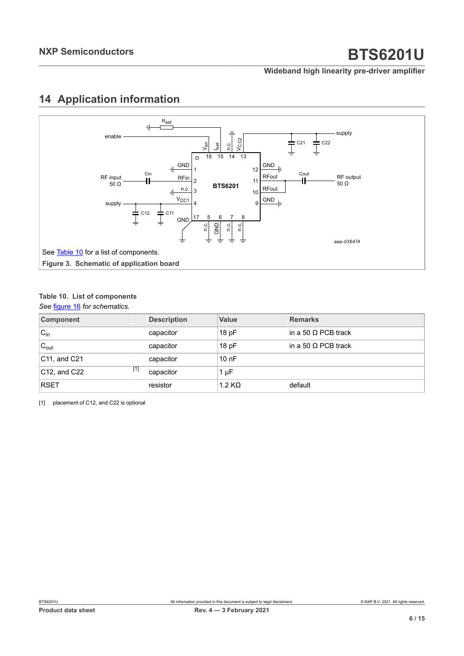#### **Wideband high linearity pre-driver amplifier**

# <span id="page-5-3"></span><span id="page-5-2"></span>**14 Application information**

<span id="page-5-1"></span>

#### <span id="page-5-0"></span>**Table 10. List of components**

*See* [figure 16](#page-5-1) *for schematics.*

| <b>Component</b>            | <b>Description</b> | Value     | <b>Remarks</b>             |
|-----------------------------|--------------------|-----------|----------------------------|
| $C_{in}$                    | capacitor          | 18pF      | in a 50 $\Omega$ PCB track |
| $C_{\text{out}}$            | capacitor          | 18pF      | in a 50 $\Omega$ PCB track |
| $ C11$ , and $C21$          | capacitor          | 10nF      |                            |
| $[1]$<br>$ C12$ , and $C22$ | capacitor          | $1 \mu F$ |                            |
| <b>RSET</b>                 | resistor           | 1.2 KQ    | default                    |

[1] placement of C12, and C22 is optional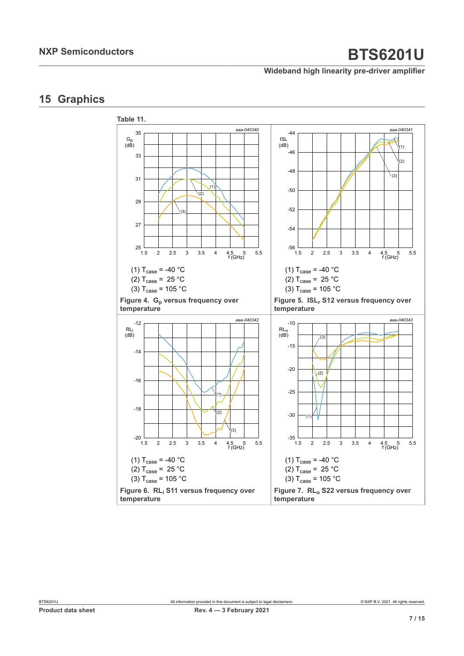#### **Wideband high linearity pre-driver amplifier**

# <span id="page-6-0"></span>**15 Graphics**

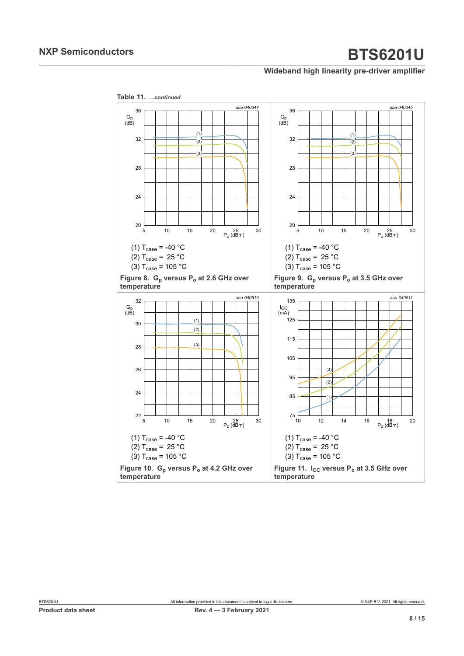#### **Wideband high linearity pre-driver amplifier**

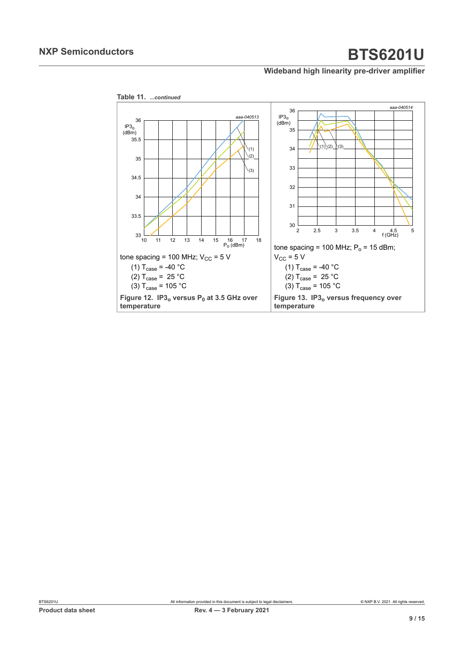**Wideband high linearity pre-driver amplifier**



**Product data sheet Rev. A Rev. 4 —** 3 **February** 2021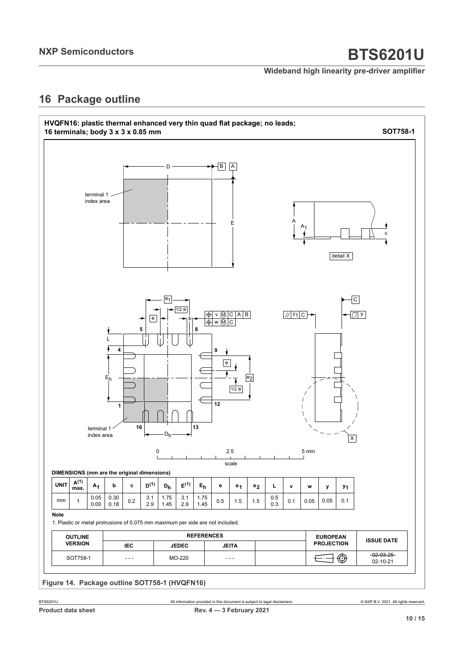#### **Wideband high linearity pre-driver amplifier**

## <span id="page-9-0"></span>**16 Package outline**

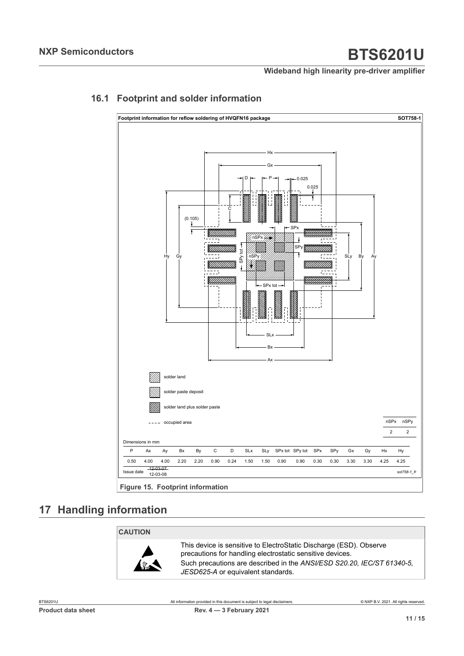#### **Wideband high linearity pre-driver amplifier**

<span id="page-10-0"></span>

### **16.1 Footprint and solder information**

**Figure 15. Footprint information**

# <span id="page-10-1"></span>**17 Handling information**

#### **CAUTION**



This device is sensitive to ElectroStatic Discharge (ESD). Observe precautions for handling electrostatic sensitive devices. Such precautions are described in the *ANSI/ESD S20.20, IEC/ST 61340-5, JESD625-A* or equivalent standards.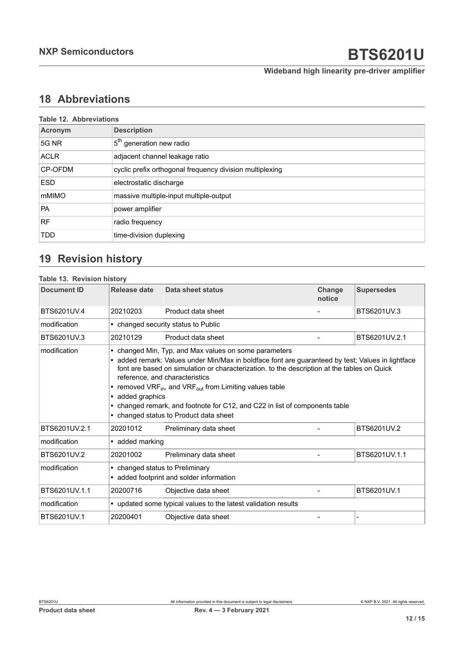**Wideband high linearity pre-driver amplifier**

# <span id="page-11-0"></span>**18 Abbreviations**

|                | <b>Table 12. Abbreviations</b>                           |  |  |  |  |
|----------------|----------------------------------------------------------|--|--|--|--|
| Acronym        | <b>Description</b>                                       |  |  |  |  |
| 5G NR          | 5 <sup>th</sup> generation new radio                     |  |  |  |  |
| <b>ACLR</b>    | adjacent channel leakage ratio                           |  |  |  |  |
| <b>CP-OFDM</b> | cyclic prefix orthogonal frequency division multiplexing |  |  |  |  |
| <b>ESD</b>     | electrostatic discharge                                  |  |  |  |  |
| mMIMO          | massive multiple-input multiple-output                   |  |  |  |  |
| <b>PA</b>      | power amplifier                                          |  |  |  |  |
| <b>RF</b>      | radio frequency                                          |  |  |  |  |
| <b>TDD</b>     | time-division duplexing                                  |  |  |  |  |

# <span id="page-11-1"></span>**19 Revision history**

| <b>Table 13. Revision history</b> |                                                                             |                                                                                                                                                                                                                                                                                                                                                                                                                                                                                                         |                  |                   |  |
|-----------------------------------|-----------------------------------------------------------------------------|---------------------------------------------------------------------------------------------------------------------------------------------------------------------------------------------------------------------------------------------------------------------------------------------------------------------------------------------------------------------------------------------------------------------------------------------------------------------------------------------------------|------------------|-------------------|--|
| <b>Document ID</b>                | Release date                                                                | Data sheet status                                                                                                                                                                                                                                                                                                                                                                                                                                                                                       | Change<br>notice | <b>Supersedes</b> |  |
| BTS6201UV.4                       | 20210203                                                                    | Product data sheet                                                                                                                                                                                                                                                                                                                                                                                                                                                                                      |                  | BTS6201UV.3       |  |
| modification                      |                                                                             | • changed security status to Public                                                                                                                                                                                                                                                                                                                                                                                                                                                                     |                  |                   |  |
| BTS6201UV.3                       | 20210129                                                                    | Product data sheet                                                                                                                                                                                                                                                                                                                                                                                                                                                                                      |                  | BTS6201UV.2.1     |  |
| modification                      | • added graphics                                                            | • changed Min, Typ, and Max values on some parameters<br>• added remark: Values under Min/Max in boldface font are guaranteed by test; Values in lightface<br>font are based on simulation or characterization. to the description at the tables on Quick<br>reference, and characteristics<br>• removed VRF <sub>in</sub> , and VRF <sub>out</sub> from Limiting values table<br>• changed remark, and footnote for C12, and C22 in list of components table<br>• changed status to Product data sheet |                  |                   |  |
| BTS6201UV.2.1                     | 20201012                                                                    | Preliminary data sheet                                                                                                                                                                                                                                                                                                                                                                                                                                                                                  |                  | BTS6201UV.2       |  |
| modification                      | • added marking                                                             |                                                                                                                                                                                                                                                                                                                                                                                                                                                                                                         |                  |                   |  |
| BTS6201UV.2                       | 20201002                                                                    | Preliminary data sheet                                                                                                                                                                                                                                                                                                                                                                                                                                                                                  |                  | BTS6201UV.1.1     |  |
| modification                      | • changed status to Preliminary<br>• added footprint and solder information |                                                                                                                                                                                                                                                                                                                                                                                                                                                                                                         |                  |                   |  |
| BTS6201UV.1.1                     | 20200716                                                                    | Objective data sheet                                                                                                                                                                                                                                                                                                                                                                                                                                                                                    |                  | BTS6201UV.1       |  |
| modification                      | • updated some typical values to the latest validation results              |                                                                                                                                                                                                                                                                                                                                                                                                                                                                                                         |                  |                   |  |
| BTS6201UV.1                       | 20200401                                                                    | Objective data sheet                                                                                                                                                                                                                                                                                                                                                                                                                                                                                    |                  |                   |  |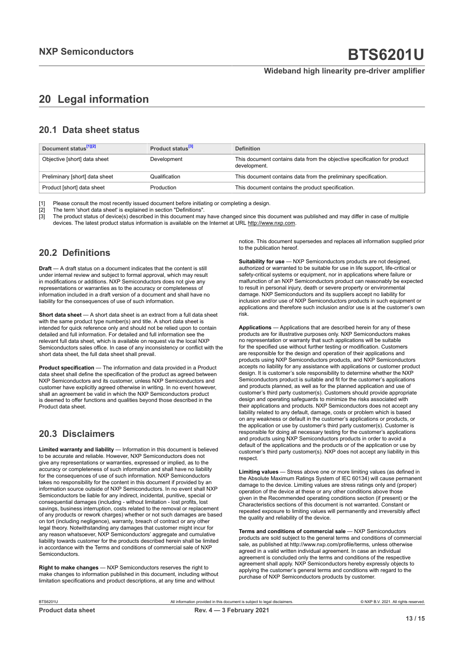#### **Wideband high linearity pre-driver amplifier**

# <span id="page-12-0"></span>**20 Legal information**

### **20.1 Data sheet status**

| Document status <sup>[1][2]</sup> | Product status <sup>[3]</sup> | <b>Definition</b>                                                                        |  |
|-----------------------------------|-------------------------------|------------------------------------------------------------------------------------------|--|
| Objective [short] data sheet      | Development                   | This document contains data from the objective specification for product<br>development. |  |
| Preliminary [short] data sheet    | Qualification                 | This document contains data from the preliminary specification.                          |  |
| Product [short] data sheet        | Production                    | This document contains the product specification.                                        |  |

[1] Please consult the most recently issued document before initiating or completing a design.<br>[2] The term 'short data sheet' is explained in section "Definitions".

t :<br>[2] The term 'short data sheet' is explained in section "Definitions".<br>[3] The product status of device(s) described in this document may

The product status of device(s) described in this document may have changed since this document was published and may differ in case of multiple devices. The latest product status information is available on the Internet at URL http://www.nxp.com.

### **20.2 Definitions**

**Draft** — A draft status on a document indicates that the content is still under internal review and subject to formal approval, which may result in modifications or additions. NXP Semiconductors does not give any representations or warranties as to the accuracy or completeness of information included in a draft version of a document and shall have no liability for the consequences of use of such information.

**Short data sheet** — A short data sheet is an extract from a full data sheet with the same product type number(s) and title. A short data sheet is intended for quick reference only and should not be relied upon to contain detailed and full information. For detailed and full information see the relevant full data sheet, which is available on request via the local NXP Semiconductors sales office. In case of any inconsistency or conflict with the short data sheet, the full data sheet shall prevail.

**Product specification** — The information and data provided in a Product data sheet shall define the specification of the product as agreed between NXP Semiconductors and its customer, unless NXP Semiconductors and customer have explicitly agreed otherwise in writing. In no event however, shall an agreement be valid in which the NXP Semiconductors product is deemed to offer functions and qualities beyond those described in the Product data sheet.

### **20.3 Disclaimers**

**Limited warranty and liability** — Information in this document is believed to be accurate and reliable. However, NXP Semiconductors does not give any representations or warranties, expressed or implied, as to the accuracy or completeness of such information and shall have no liability for the consequences of use of such information. NXP Semiconductors takes no responsibility for the content in this document if provided by an information source outside of NXP Semiconductors. In no event shall NXP Semiconductors be liable for any indirect, incidental, punitive, special or consequential damages (including - without limitation - lost profits, lost savings, business interruption, costs related to the removal or replacement of any products or rework charges) whether or not such damages are based on tort (including negligence), warranty, breach of contract or any other legal theory. Notwithstanding any damages that customer might incur for any reason whatsoever, NXP Semiconductors' aggregate and cumulative liability towards customer for the products described herein shall be limited in accordance with the Terms and conditions of commercial sale of NXP **Semiconductors** 

**Right to make changes** — NXP Semiconductors reserves the right to make changes to information published in this document, including without limitation specifications and product descriptions, at any time and without

notice. This document supersedes and replaces all information supplied prior to the publication hereof.

**Suitability for use** — NXP Semiconductors products are not designed, authorized or warranted to be suitable for use in life support, life-critical or safety-critical systems or equipment, nor in applications where failure or malfunction of an NXP Semiconductors product can reasonably be expected to result in personal injury, death or severe property or environmental damage. NXP Semiconductors and its suppliers accept no liability for inclusion and/or use of NXP Semiconductors products in such equipment or applications and therefore such inclusion and/or use is at the customer's own risk.

**Applications** — Applications that are described herein for any of these products are for illustrative purposes only. NXP Semiconductors makes no representation or warranty that such applications will be suitable for the specified use without further testing or modification. Customers are responsible for the design and operation of their applications and products using NXP Semiconductors products, and NXP Semiconductors accepts no liability for any assistance with applications or customer product design. It is customer's sole responsibility to determine whether the NXP Semiconductors product is suitable and fit for the customer's applications and products planned, as well as for the planned application and use of customer's third party customer(s). Customers should provide appropriate design and operating safeguards to minimize the risks associated with their applications and products. NXP Semiconductors does not accept any liability related to any default, damage, costs or problem which is based on any weakness or default in the customer's applications or products, or the application or use by customer's third party customer(s). Customer is responsible for doing all necessary testing for the customer's applications and products using NXP Semiconductors products in order to avoid a default of the applications and the products or of the application or use by customer's third party customer(s). NXP does not accept any liability in this respect

**Limiting values** — Stress above one or more limiting values (as defined in the Absolute Maximum Ratings System of IEC 60134) will cause permanent damage to the device. Limiting values are stress ratings only and (proper) operation of the device at these or any other conditions above those given in the Recommended operating conditions section (if present) or the Characteristics sections of this document is not warranted. Constant or repeated exposure to limiting values will permanently and irreversibly affect the quality and reliability of the device.

**Terms and conditions of commercial sale** — NXP Semiconductors products are sold subject to the general terms and conditions of commercial sale, as published at http://www.nxp.com/profile/terms, unless otherwise agreed in a valid written individual agreement. In case an individual agreement is concluded only the terms and conditions of the respective agreement shall apply. NXP Semiconductors hereby expressly objects to applying the customer's general terms and conditions with regard to the purchase of NXP Semiconductors products by customer.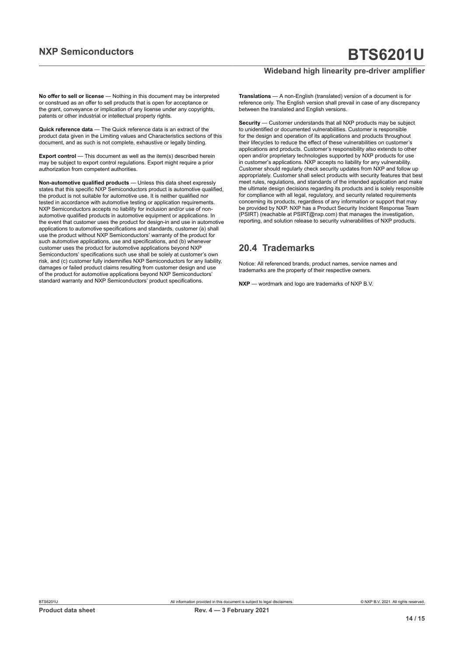#### **Wideband high linearity pre-driver amplifier**

**No offer to sell or license** — Nothing in this document may be interpreted or construed as an offer to sell products that is open for acceptance or the grant, conveyance or implication of any license under any copyrights, patents or other industrial or intellectual property rights.

**Quick reference data** — The Quick reference data is an extract of the product data given in the Limiting values and Characteristics sections of this document, and as such is not complete, exhaustive or legally binding.

**Export control** — This document as well as the item(s) described herein may be subject to export control regulations. Export might require a prior authorization from competent authorities.

**Non-automotive qualified products** — Unless this data sheet expressly states that this specific NXP Semiconductors product is automotive qualified, the product is not suitable for automotive use. It is neither qualified nor tested in accordance with automotive testing or application requirements. NXP Semiconductors accepts no liability for inclusion and/or use of nonautomotive qualified products in automotive equipment or applications. In the event that customer uses the product for design-in and use in automotive applications to automotive specifications and standards, customer (a) shall use the product without NXP Semiconductors' warranty of the product for such automotive applications, use and specifications, and (b) whenever customer uses the product for automotive applications beyond NXP Semiconductors' specifications such use shall be solely at customer's own risk, and (c) customer fully indemnifies NXP Semiconductors for any liability, damages or failed product claims resulting from customer design and use of the product for automotive applications beyond NXP Semiconductors' standard warranty and NXP Semiconductors' product specifications.

**Translations** — A non-English (translated) version of a document is for reference only. The English version shall prevail in case of any discrepancy between the translated and English versions.

**Security** — Customer understands that all NXP products may be subject to unidentified or documented vulnerabilities. Customer is responsible for the design and operation of its applications and products throughout their lifecycles to reduce the effect of these vulnerabilities on customer's applications and products. Customer's responsibility also extends to other open and/or proprietary technologies supported by NXP products for use in customer's applications. NXP accepts no liability for any vulnerability. Customer should regularly check security updates from NXP and follow up appropriately. Customer shall select products with security features that best meet rules, regulations, and standards of the intended application and make the ultimate design decisions regarding its products and is solely responsible for compliance with all legal, regulatory, and security related requirements concerning its products, regardless of any information or support that may be provided by NXP. NXP has a Product Security Incident Response Team (PSIRT) (reachable at PSIRT@nxp.com) that manages the investigation, reporting, and solution release to security vulnerabilities of NXP products.

### **20.4 Trademarks**

Notice: All referenced brands, product names, service names and trademarks are the property of their respective owners.

**NXP** — wordmark and logo are trademarks of NXP B.V.